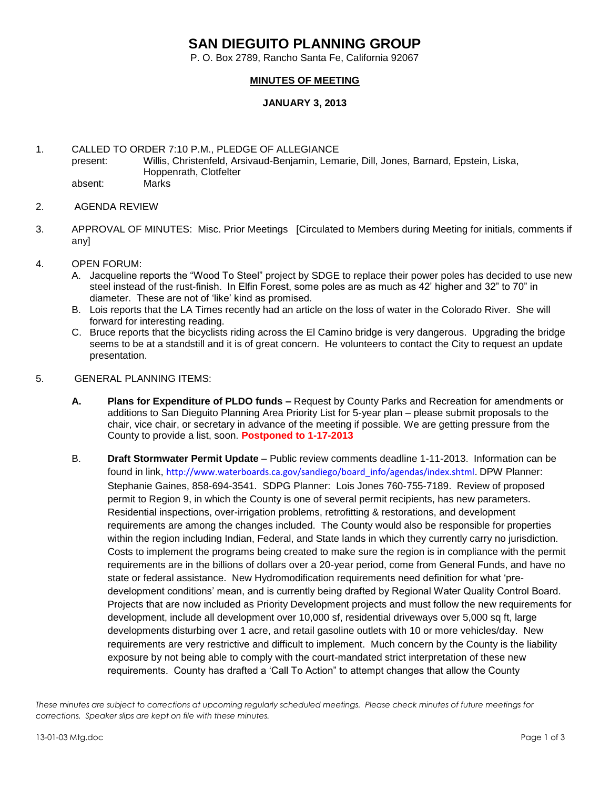## **SAN DIEGUITO PLANNING GROUP**

P. O. Box 2789, Rancho Santa Fe, California 92067

## **MINUTES OF MEETING**

## **JANUARY 3, 2013**

1. CALLED TO ORDER 7:10 P.M., PLEDGE OF ALLEGIANCE present: Willis, Christenfeld, Arsivaud-Benjamin, Lemarie, Dill, Jones, Barnard, Epstein, Liska, Hoppenrath, Clotfelter absent: Marks

- 2. AGENDA REVIEW
- 3. APPROVAL OF MINUTES: Misc. Prior Meetings [Circulated to Members during Meeting for initials, comments if any]
- 4. OPEN FORUM:
	- A. Jacqueline reports the "Wood To Steel" project by SDGE to replace their power poles has decided to use new steel instead of the rust-finish. In Elfin Forest, some poles are as much as 42' higher and 32" to 70" in diameter. These are not of 'like' kind as promised.
	- B. Lois reports that the LA Times recently had an article on the loss of water in the Colorado River. She will forward for interesting reading.
	- C. Bruce reports that the bicyclists riding across the El Camino bridge is very dangerous. Upgrading the bridge seems to be at a standstill and it is of great concern. He volunteers to contact the City to request an update presentation.
- 5. GENERAL PLANNING ITEMS:
	- **A. Plans for Expenditure of PLDO funds –** Request by County Parks and Recreation for amendments or additions to San Dieguito Planning Area Priority List for 5-year plan – please submit proposals to the chair, vice chair, or secretary in advance of the meeting if possible. We are getting pressure from the County to provide a list, soon. **Postponed to 1-17-2013**
	- B. **Draft Stormwater Permit Update**  Public review comments deadline 1-11-2013. Information can be found in link, [http://www.waterboards.ca.gov/sandiego/board\\_info/agendas/index.shtml.](http://www.waterboards.ca.gov/sandiego/board_info/agendas/index.shtml) DPW Planner: Stephanie Gaines, 858-694-3541. SDPG Planner: Lois Jones 760-755-7189. Review of proposed permit to Region 9, in which the County is one of several permit recipients, has new parameters. Residential inspections, over-irrigation problems, retrofitting & restorations, and development requirements are among the changes included. The County would also be responsible for properties within the region including Indian, Federal, and State lands in which they currently carry no jurisdiction. Costs to implement the programs being created to make sure the region is in compliance with the permit requirements are in the billions of dollars over a 20-year period, come from General Funds, and have no state or federal assistance. New Hydromodification requirements need definition for what 'predevelopment conditions' mean, and is currently being drafted by Regional Water Quality Control Board. Projects that are now included as Priority Development projects and must follow the new requirements for development, include all development over 10,000 sf, residential driveways over 5,000 sq ft, large developments disturbing over 1 acre, and retail gasoline outlets with 10 or more vehicles/day. New requirements are very restrictive and difficult to implement. Much concern by the County is the liability exposure by not being able to comply with the court-mandated strict interpretation of these new requirements. County has drafted a 'Call To Action" to attempt changes that allow the County

*These minutes are subject to corrections at upcoming regularly scheduled meetings. Please check minutes of future meetings for corrections. Speaker slips are kept on file with these minutes.*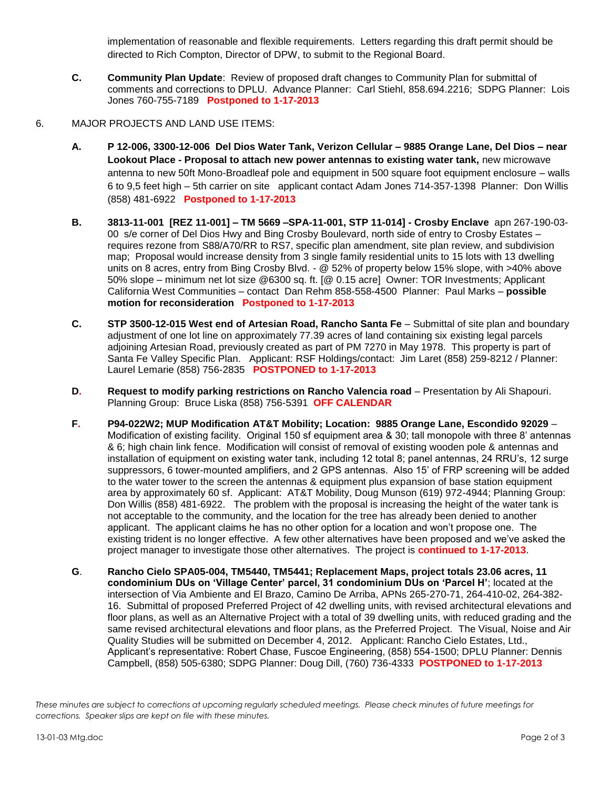implementation of reasonable and flexible requirements. Letters regarding this draft permit should be directed to Rich Compton, Director of DPW, to submit to the Regional Board.

- **C. Community Plan Update**: Review of proposed draft changes to Community Plan for submittal of comments and corrections to DPLU. Advance Planner: Carl Stiehl, 858.694.2216; SDPG Planner: Lois Jones 760-755-7189 **Postponed to 1-17-2013**
- 6. MAJOR PROJECTS AND LAND USE ITEMS:
	- **A. P 12-006, 3300-12-006 Del Dios Water Tank, Verizon Cellular – 9885 Orange Lane, Del Dios – near Lookout Place - Proposal to attach new power antennas to existing water tank,** new microwave antenna to new 50ft Mono-Broadleaf pole and equipment in 500 square foot equipment enclosure – walls 6 to 9,5 feet high – 5th carrier on site applicant contact Adam Jones 714-357-1398 Planner: Don Willis (858) 481-6922 **Postponed to 1-17-2013**
	- **B. 3813-11-001 [REZ 11-001] – TM 5669 –SPA-11-001, STP 11-014] - Crosby Enclave** apn 267-190-03- 00 s/e corner of Del Dios Hwy and Bing Crosby Boulevard, north side of entry to Crosby Estates – requires rezone from S88/A70/RR to RS7, specific plan amendment, site plan review, and subdivision map; Proposal would increase density from 3 single family residential units to 15 lots with 13 dwelling units on 8 acres, entry from Bing Crosby Blvd. - @ 52% of property below 15% slope, with >40% above 50% slope – minimum net lot size @6300 sq. ft. [@ 0.15 acre] Owner: TOR Investments; Applicant California West Communities – contact Dan Rehm 858-558-4500 Planner: Paul Marks – **possible motion for reconsideration Postponed to 1-17-2013**
	- **C. STP 3500-12-015 West end of Artesian Road, Rancho Santa Fe** Submittal of site plan and boundary adjustment of one lot line on approximately 77.39 acres of land containing six existing legal parcels adjoining Artesian Road, previously created as part of PM 7270 in May 1978. This property is part of Santa Fe Valley Specific Plan.Applicant: RSF Holdings/contact: Jim Laret (858) 259-8212 / Planner: Laurel Lemarie (858) 756-2835 **POSTPONED to 1-17-2013**
	- **D. Request to modify parking restrictions on Rancho Valencia road** Presentation by Ali Shapouri. Planning Group: Bruce Liska (858) 756-5391 **OFF CALENDAR**
	- **F. P94-022W2; MUP Modification AT&T Mobility; Location: 9885 Orange Lane, Escondido 92029** Modification of existing facility. Original 150 sf equipment area & 30; tall monopole with three 8' antennas & 6; high chain link fence. Modification will consist of removal of existing wooden pole & antennas and installation of equipment on existing water tank, including 12 total 8; panel antennas, 24 RRU's, 12 surge suppressors, 6 tower-mounted amplifiers, and 2 GPS antennas. Also 15' of FRP screening will be added to the water tower to the screen the antennas & equipment plus expansion of base station equipment area by approximately 60 sf. Applicant: AT&T Mobility, Doug Munson (619) 972-4944; Planning Group: Don Willis (858) 481-6922. The problem with the proposal is increasing the height of the water tank is not acceptable to the community, and the location for the tree has already been denied to another applicant. The applicant claims he has no other option for a location and won't propose one. The existing trident is no longer effective. A few other alternatives have been proposed and we've asked the project manager to investigate those other alternatives. The project is **continued to 1-17-2013**.
	- **G**. **Rancho Cielo SPA05-004, TM5440, TM5441; Replacement Maps, project totals 23.06 acres, 11 condominium DUs on 'Village Center' parcel, 31 condominium DUs on 'Parcel H'**; located at the intersection of Via Ambiente and El Brazo, Camino De Arriba, APNs 265-270-71, 264-410-02, 264-382- 16. Submittal of proposed Preferred Project of 42 dwelling units, with revised architectural elevations and floor plans, as well as an Alternative Project with a total of 39 dwelling units, with reduced grading and the same revised architectural elevations and floor plans, as the Preferred Project. The Visual, Noise and Air Quality Studies will be submitted on December 4, 2012. Applicant: Rancho Cielo Estates, Ltd., Applicant's representative: Robert Chase, Fuscoe Engineering, (858) 554-1500; DPLU Planner: Dennis Campbell, (858) 505-6380; SDPG Planner: Doug Dill, (760) 736-4333 **POSTPONED to 1-17-2013**

*These minutes are subject to corrections at upcoming regularly scheduled meetings. Please check minutes of future meetings for corrections. Speaker slips are kept on file with these minutes.*